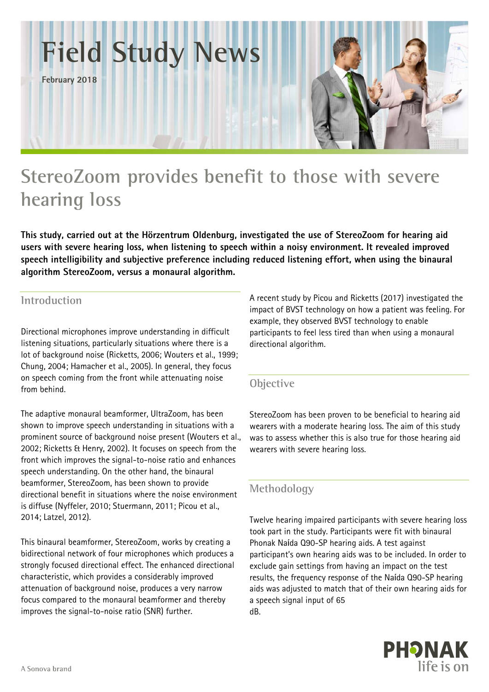

# **StereoZoom provides benefit to those with severe hearing loss**

**This study, carried out at the Hörzentrum Oldenburg, investigated the use of StereoZoom for hearing aid users with severe hearing loss, when listening to speech within a noisy environment. It revealed improved speech intelligibility and subjective preference including reduced listening effort, when using the binaural algorithm StereoZoom, versus a monaural algorithm.** 

# **Introduction**

Directional microphones improve understanding in difficult listening situations, particularly situations where there is a lot of background noise (Ricketts, 2006; Wouters et al., 1999; Chung, 2004; Hamacher et al., 2005). In general, they focus on speech coming from the front while attenuating noise from behind.

The adaptive monaural beamformer, UltraZoom, has been shown to improve speech understanding in situations with a prominent source of background noise present (Wouters et al., 2002; Ricketts & Henry, 2002). It focuses on speech from the front which improves the signal-to-noise ratio and enhances speech understanding. On the other hand, the binaural beamformer, StereoZoom, has been shown to provide directional benefit in situations where the noise environment is diffuse (Nyffeler, 2010; Stuermann, 2011; Picou et al., 2014; Latzel, 2012).

This binaural beamformer, StereoZoom, works by creating a bidirectional network of four microphones which produces a strongly focused directional effect. The enhanced directional characteristic, which provides a considerably improved attenuation of background noise, produces a very narrow focus compared to the monaural beamformer and thereby improves the signal-to-noise ratio (SNR) further.

A recent study by Picou and Ricketts (2017) investigated the impact of BVST technology on how a patient was feeling. For example, they observed BVST technology to enable participants to feel less tired than when using a monaural directional algorithm.

## **Objective**

StereoZoom has been proven to be beneficial to hearing aid wearers with a moderate hearing loss. The aim of this study was to assess whether this is also true for those hearing aid wearers with severe hearing loss.

## **Methodology**

Twelve hearing impaired participants with severe hearing loss took part in the study. Participants were fit with binaural Phonak Naίda Q90-SP hearing aids. A test against participant's own hearing aids was to be included. In order to exclude gain settings from having an impact on the test results, the frequency response of the Naίda Q90-SP hearing aids was adjusted to match that of their own hearing aids for a speech signal input of 65 dB.

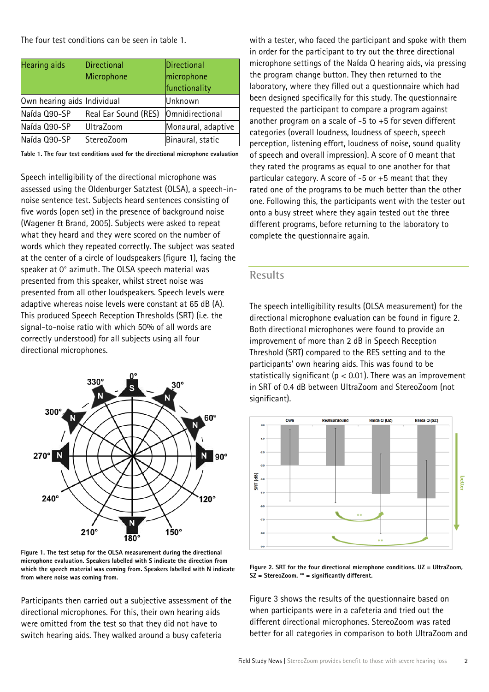The four test conditions can be seen in table 1.

| <b>Hearing</b> aids         | Directional          | Directional        |
|-----------------------------|----------------------|--------------------|
|                             | Microphone           | microphone         |
|                             |                      | functionality      |
| Own hearing aids Individual |                      | Unknown            |
| Naída Q90-SP                | Real Ear Sound (RES) | Omnidirectional    |
| Naída Q90-SP                | <b>UltraZoom</b>     | Monaural, adaptive |
| Naída Q90-SP                | StereoZoom           | Binaural, static   |

**Table 1. The four test conditions used for the directional microphone evaluation** 

Speech intelligibility of the directional microphone was assessed using the Oldenburger Satztest (OLSA), a speech-innoise sentence test. Subjects heard sentences consisting of five words (open set) in the presence of background noise (Wagener & Brand, 2005). Subjects were asked to repeat what they heard and they were scored on the number of words which they repeated correctly. The subject was seated at the center of a circle of loudspeakers (figure 1), facing the speaker at 0° azimuth. The OLSA speech material was presented from this speaker, whilst street noise was presented from all other loudspeakers. Speech levels were adaptive whereas noise levels were constant at 65 dB (A). This produced Speech Reception Thresholds (SRT) (i.e. the signal-to-noise ratio with which 50% of all words are correctly understood) for all subjects using all four directional microphones.



**Figure 1. The test setup for the OLSA measurement during the directional microphone evaluation. Speakers labelled with S indicate the direction from which the speech material was coming from. Speakers labelled with N indicate from where noise was coming from.** 

Participants then carried out a subjective assessment of the directional microphones. For this, their own hearing aids were omitted from the test so that they did not have to switch hearing aids. They walked around a busy cafeteria

with a tester, who faced the participant and spoke with them in order for the participant to try out the three directional microphone settings of the Naίda Q hearing aids, via pressing the program change button. They then returned to the laboratory, where they filled out a questionnaire which had been designed specifically for this study. The questionnaire requested the participant to compare a program against another program on a scale of -5 to +5 for seven different categories (overall loudness, loudness of speech, speech perception, listening effort, loudness of noise, sound quality of speech and overall impression). A score of 0 meant that they rated the programs as equal to one another for that particular category. A score of -5 or +5 meant that they rated one of the programs to be much better than the other one. Following this, the participants went with the tester out onto a busy street where they again tested out the three different programs, before returning to the laboratory to complete the questionnaire again.

#### **Results**

The speech intelligibility results (OLSA measurement) for the directional microphone evaluation can be found in figure 2. Both directional microphones were found to provide an improvement of more than 2 dB in Speech Reception Threshold (SRT) compared to the RES setting and to the participants' own hearing aids. This was found to be statistically significant ( $p < 0.01$ ). There was an improvement in SRT of 0.4 dB between UltraZoom and StereoZoom (not significant).



**Figure 2. SRT for the four directional microphone conditions. UZ = UltraZoom, SZ = StereoZoom. \*\* = significantly different.** 

Figure 3 shows the results of the questionnaire based on when participants were in a cafeteria and tried out the different directional microphones. StereoZoom was rated better for all categories in comparison to both UltraZoom and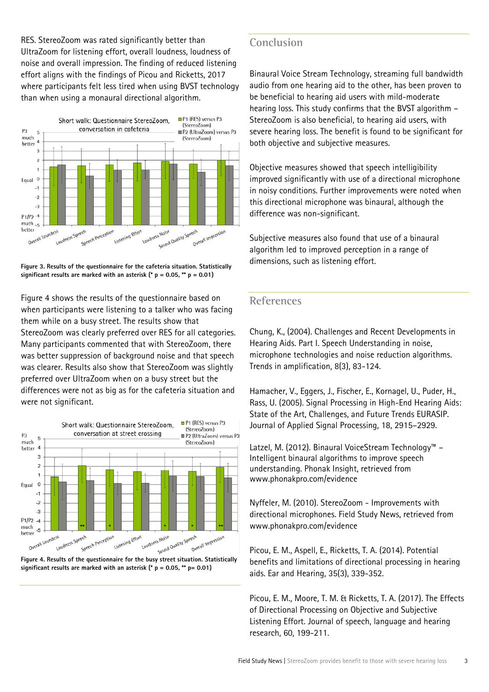RES. StereoZoom was rated significantly better than UltraZoom for listening effort, overall loudness, loudness of noise and overall impression. The finding of reduced listening effort aligns with the findings of Picou and Ricketts, 2017 where participants felt less tired when using BVST technology than when using a monaural directional algorithm.



**Figure 3. Results of the questionnaire for the cafeteria situation. Statistically significant results are marked with an asterisk (\* p = 0.05, \*\* p = 0.01)** 

Figure 4 shows the results of the questionnaire based on when participants were listening to a talker who was facing them while on a busy street. The results show that StereoZoom was clearly preferred over RES for all categories. Many participants commented that with StereoZoom, there was better suppression of background noise and that speech was clearer. Results also show that StereoZoom was slightly preferred over UltraZoom when on a busy street but the differences were not as big as for the cafeteria situation and were not significant.





#### **Conclusion**

Binaural Voice Stream Technology, streaming full bandwidth audio from one hearing aid to the other, has been proven to be beneficial to hearing aid users with mild-moderate hearing loss. This study confirms that the BVST algorithm – StereoZoom is also beneficial, to hearing aid users, with severe hearing loss. The benefit is found to be significant for both objective and subjective measures.

Objective measures showed that speech intelligibility improved significantly with use of a directional microphone in noisy conditions. Further improvements were noted when this directional microphone was binaural, although the difference was non-significant.

Subjective measures also found that use of a binaural algorithm led to improved perception in a range of dimensions, such as listening effort.

#### **References**

Chung, K., (2004). Challenges and Recent Developments in Hearing Aids. Part I. Speech Understanding in noise, microphone technologies and noise reduction algorithms. Trends in amplification, 8(3), 83-124.

Hamacher, V., Eggers, J., Fischer, E., Kornagel, U., Puder, H., Rass, U. (2005). Signal Processing in High-End Hearing Aids: State of the Art, Challenges, and Future Trends EURASIP. Journal of Applied Signal Processing*,* 18, 2915–2929.

Latzel, M. (2012). Binaural VoiceStream Technology™ – Intelligent binaural algorithms to improve speech understanding. Phonak Insight, retrieved from www.phonakpro.com/evidence

Nyffeler, M. (2010). StereoZoom - Improvements with directional microphones. Field Study News, retrieved from www.phonakpro.com/evidence

Picou, E. M., Aspell, E., Ricketts, T. A. (2014). Potential benefits and limitations of directional processing in hearing aids. Ear and Hearing, 35(3), 339-352.

Picou, E. M., Moore, T. M. & Ricketts, T. A. (2017). The Effects of Directional Processing on Objective and Subjective Listening Effort. Journal of speech, language and hearing research, 60, 199-211.